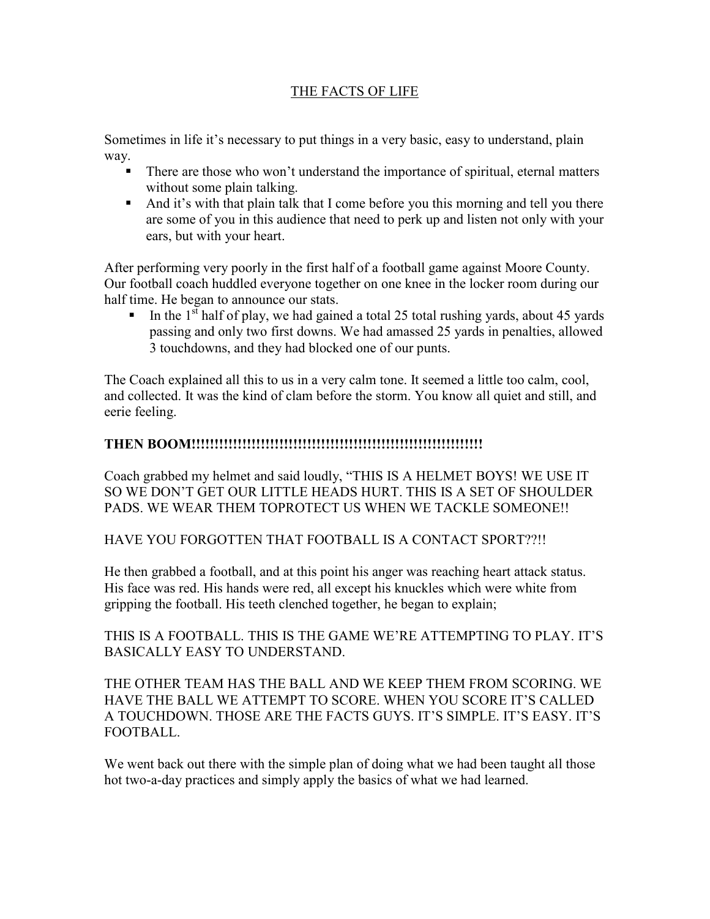## THE FACTS OF LIFE

Sometimes in life it's necessary to put things in a very basic, easy to understand, plain way.

- There are those who won't understand the importance of spiritual, eternal matters without some plain talking.
- And it's with that plain talk that I come before you this morning and tell you there are some of you in this audience that need to perk up and listen not only with your ears, but with your heart.

After performing very poorly in the first half of a football game against Moore County. Our football coach huddled everyone together on one knee in the locker room during our half time. He began to announce our stats.

In the  $1<sup>st</sup>$  half of play, we had gained a total 25 total rushing yards, about 45 yards passing and only two first downs. We had amassed 25 yards in penalties, allowed 3 touchdowns, and they had blocked one of our punts.

The Coach explained all this to us in a very calm tone. It seemed a little too calm, cool, and collected. It was the kind of clam before the storm. You know all quiet and still, and eerie feeling.

## **THEN BOOM!!!!!!!!!!!!!!!!!!!!!!!!!!!!!!!!!!!!!!!!!!!!!!!!!!!!!!!!!!!!!!!**

Coach grabbed my helmet and said loudly, "THIS IS A HELMET BOYS! WE USE IT SO WE DON'T GET OUR LITTLE HEADS HURT. THIS IS A SET OF SHOULDER PADS. WE WEAR THEM TOPROTECT US WHEN WE TACKLE SOMEONE!!

HAVE YOU FORGOTTEN THAT FOOTBALL IS A CONTACT SPORT??!!

He then grabbed a football, and at this point his anger was reaching heart attack status. His face was red. His hands were red, all except his knuckles which were white from gripping the football. His teeth clenched together, he began to explain;

THIS IS A FOOTBALL. THIS IS THE GAME WE'RE ATTEMPTING TO PLAY. IT'S BASICALLY EASY TO UNDERSTAND.

THE OTHER TEAM HAS THE BALL AND WE KEEP THEM FROM SCORING. WE HAVE THE BALL WE ATTEMPT TO SCORE. WHEN YOU SCORE IT'S CALLED A TOUCHDOWN. THOSE ARE THE FACTS GUYS. IT'S SIMPLE. IT'S EASY. IT'S FOOTBALL.

We went back out there with the simple plan of doing what we had been taught all those hot two-a-day practices and simply apply the basics of what we had learned.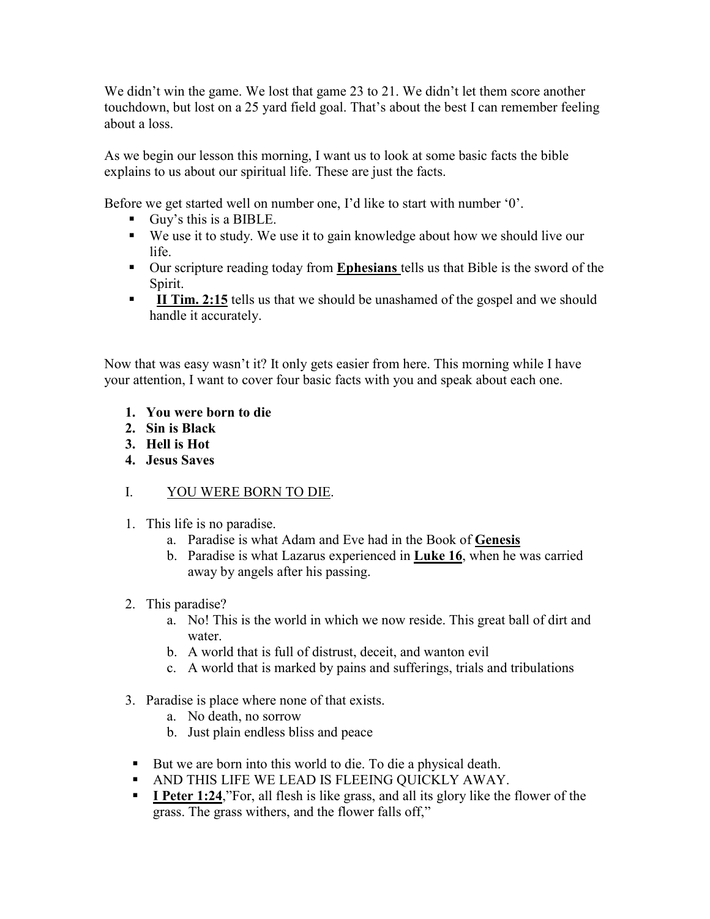We didn't win the game. We lost that game 23 to 21. We didn't let them score another touchdown, but lost on a 25 yard field goal. That's about the best I can remember feeling about a loss.

As we begin our lesson this morning, I want us to look at some basic facts the bible explains to us about our spiritual life. These are just the facts.

Before we get started well on number one, I'd like to start with number '0'.

- Guy's this is a BIBLE.
- We use it to study. We use it to gain knowledge about how we should live our life.
- Our scripture reading today from **Ephesians** tells us that Bible is the sword of the Spirit.
- **II Tim. 2:15** tells us that we should be unashamed of the gospel and we should handle it accurately.

Now that was easy wasn't it? It only gets easier from here. This morning while I have your attention, I want to cover four basic facts with you and speak about each one.

- **1. You were born to die**
- **2. Sin is Black**
- **3. Hell is Hot**
- **4. Jesus Saves**

## I. YOU WERE BORN TO DIE.

- 1. This life is no paradise.
	- a. Paradise is what Adam and Eve had in the Book of **Genesis**
	- b. Paradise is what Lazarus experienced in **Luke 16**, when he was carried away by angels after his passing.
- 2. This paradise?
	- a. No! This is the world in which we now reside. This great ball of dirt and water.
	- b. A world that is full of distrust, deceit, and wanton evil
	- c. A world that is marked by pains and sufferings, trials and tribulations
- 3. Paradise is place where none of that exists.
	- a. No death, no sorrow
	- b. Just plain endless bliss and peace
- But we are born into this world to die. To die a physical death.
- AND THIS LIFE WE LEAD IS FLEEING QUICKLY AWAY.
- **I Peter 1:24**, For, all flesh is like grass, and all its glory like the flower of the grass. The grass withers, and the flower falls off,"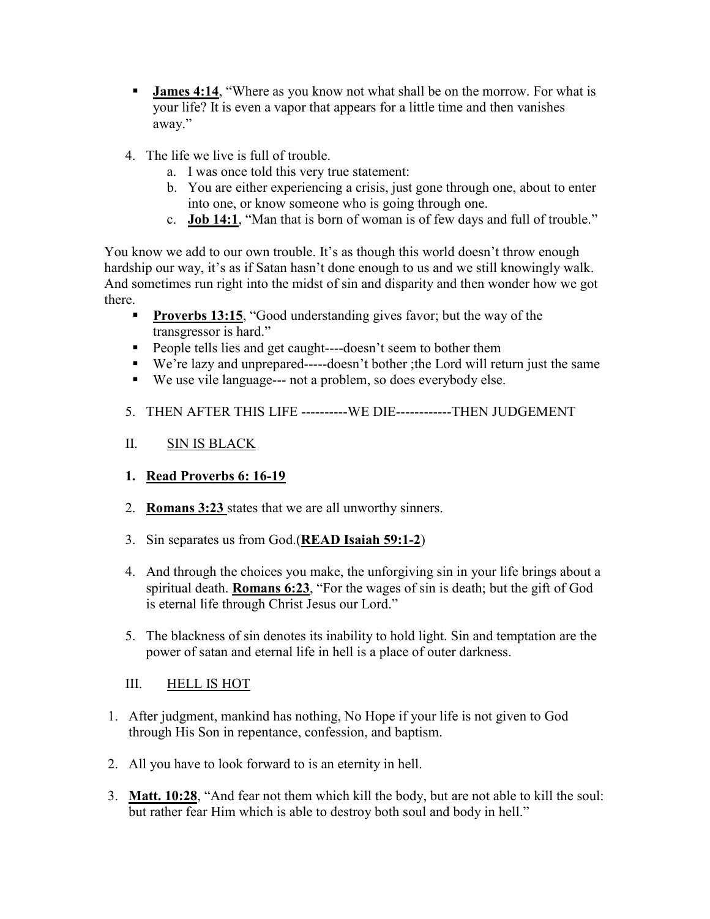- **James 4:14**, "Where as you know not what shall be on the morrow. For what is your life? It is even a vapor that appears for a little time and then vanishes away."
- 4. The life we live is full of trouble.
	- a. I was once told this very true statement:
	- b. You are either experiencing a crisis, just gone through one, about to enter into one, or know someone who is going through one.
	- c. **Job 14:1**, "Man that is born of woman is of few days and full of trouble."

You know we add to our own trouble. It's as though this world doesn't throw enough hardship our way, it's as if Satan hasn't done enough to us and we still knowingly walk. And sometimes run right into the midst of sin and disparity and then wonder how we got there.

- **Proverbs 13:15**, "Good understanding gives favor; but the way of the transgressor is hard."
- People tells lies and get caught----doesn't seem to bother them
- We're lazy and unprepared-----doesn't bother ;the Lord will return just the same
- We use vile language--- not a problem, so does everybody else.
- 5. THEN AFTER THIS LIFE ----------WE DIE------------THEN JUDGEMENT

## II. SIN IS BLACK

- **1. Read Proverbs 6: 16-19**
- 2. **Romans 3:23** states that we are all unworthy sinners.
- 3. Sin separates us from God.(**READ Isaiah 59:1-2**)
- 4. And through the choices you make, the unforgiving sin in your life brings about a spiritual death. **Romans 6:23**, "For the wages of sin is death; but the gift of God is eternal life through Christ Jesus our Lord."
- 5. The blackness of sin denotes its inability to hold light. Sin and temptation are the power of satan and eternal life in hell is a place of outer darkness.
- III. HELL IS HOT
- 1. After judgment, mankind has nothing, No Hope if your life is not given to God through His Son in repentance, confession, and baptism.
- 2. All you have to look forward to is an eternity in hell.
- 3. **Matt. 10:28**, "And fear not them which kill the body, but are not able to kill the soul: but rather fear Him which is able to destroy both soul and body in hell."